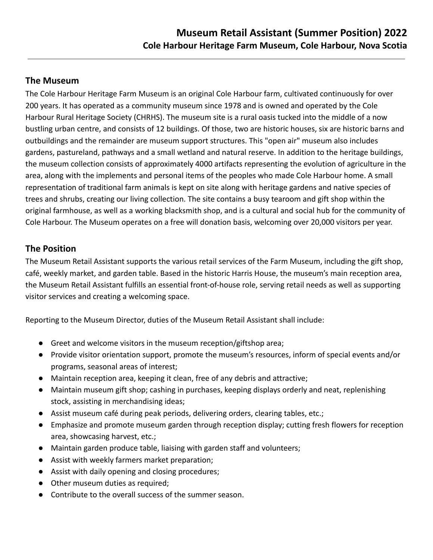## **The Museum**

The Cole Harbour Heritage Farm Museum is an original Cole Harbour farm, cultivated continuously for over 200 years. It has operated as a community museum since 1978 and is owned and operated by the Cole Harbour Rural Heritage Society (CHRHS). The museum site is a rural oasis tucked into the middle of a now bustling urban centre, and consists of 12 buildings. Of those, two are historic houses, six are historic barns and outbuildings and the remainder are museum support structures. This "open air" museum also includes gardens, pastureland, pathways and a small wetland and natural reserve. In addition to the heritage buildings, the museum collection consists of approximately 4000 artifacts representing the evolution of agriculture in the area, along with the implements and personal items of the peoples who made Cole Harbour home. A small representation of traditional farm animals is kept on site along with heritage gardens and native species of trees and shrubs, creating our living collection. The site contains a busy tearoom and gift shop within the original farmhouse, as well as a working blacksmith shop, and is a cultural and social hub for the community of Cole Harbour. The Museum operates on a free will donation basis, welcoming over 20,000 visitors per year.

## **The Position**

The Museum Retail Assistant supports the various retail services of the Farm Museum, including the gift shop, café, weekly market, and garden table. Based in the historic Harris House, the museum's main reception area, the Museum Retail Assistant fulfills an essential front-of-house role, serving retail needs as well as supporting visitor services and creating a welcoming space.

Reporting to the Museum Director, duties of the Museum Retail Assistant shall include:

- Greet and welcome visitors in the museum reception/giftshop area;
- Provide visitor orientation support, promote the museum's resources, inform of special events and/or programs, seasonal areas of interest;
- Maintain reception area, keeping it clean, free of any debris and attractive;
- Maintain museum gift shop; cashing in purchases, keeping displays orderly and neat, replenishing stock, assisting in merchandising ideas;
- Assist museum café during peak periods, delivering orders, clearing tables, etc.;
- Emphasize and promote museum garden through reception display; cutting fresh flowers for reception area, showcasing harvest, etc.;
- Maintain garden produce table, liaising with garden staff and volunteers;
- Assist with weekly farmers market preparation;
- Assist with daily opening and closing procedures;
- Other museum duties as required:
- Contribute to the overall success of the summer season.